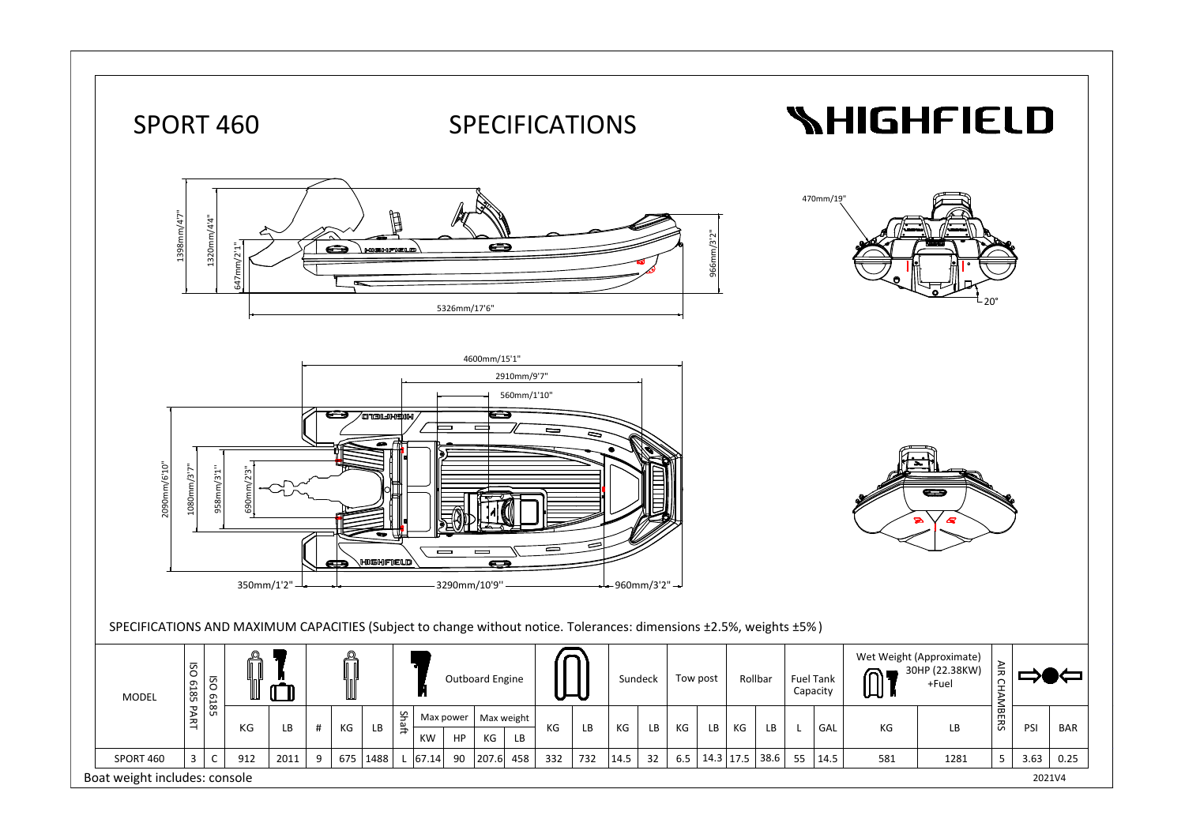